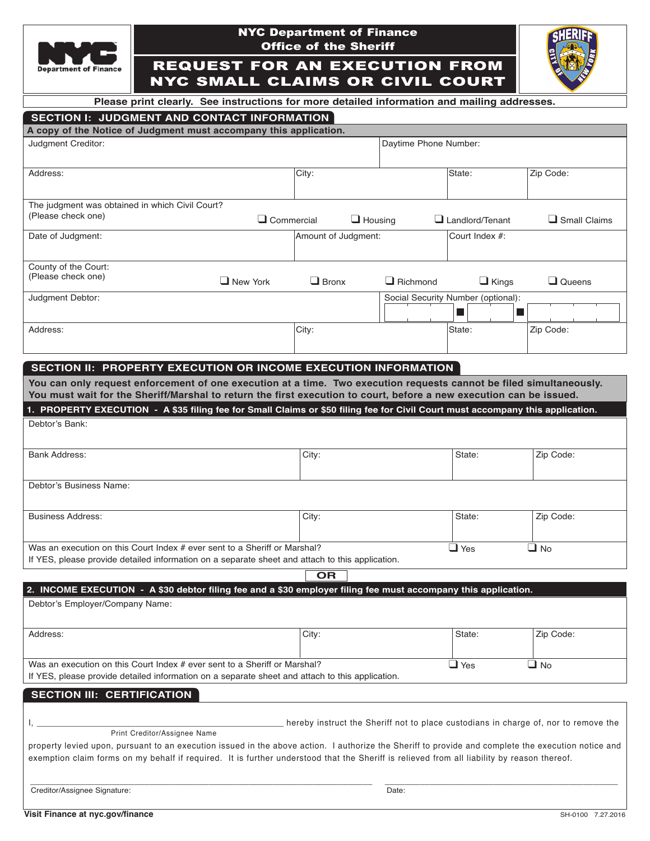

## NYC Department of Finance Office of the Sheriff

REQUEST FOR AN EXECUTION FROM NYC SMALL CLAIMS OR CIVIL COURT



**Please print clearly. See instructions for more detailed information and mailing addresses.**

| SECTION I: JUDGMENT AND CONTACT INFORMATION                                                                                                                                                                                                                                          |  |  |  |  |
|--------------------------------------------------------------------------------------------------------------------------------------------------------------------------------------------------------------------------------------------------------------------------------------|--|--|--|--|
| A copy of the Notice of Judgment must accompany this application.                                                                                                                                                                                                                    |  |  |  |  |
| $\sim$ 1. $\sim$ 1. $\sim$ 1. $\sim$ 1. $\sim$ 1. $\sim$ 1. $\sim$ 1. $\sim$ 1. $\sim$ 1. $\sim$ 1. $\sim$ 1. $\sim$ 1. $\sim$ 1. $\sim$ 1. $\sim$ 1. $\sim$ 1. $\sim$ 1. $\sim$ 1. $\sim$ 1. $\sim$ 1. $\sim$ 1. $\sim$ 1. $\sim$ 1. $\sim$ 1. $\sim$ 1. $\sim$ 1. $\sim$ 1. $\sim$ |  |  |  |  |

| Judgment Creditor:                              |                   |                     | Daytime Phone Number: |                                    |                   |
|-------------------------------------------------|-------------------|---------------------|-----------------------|------------------------------------|-------------------|
| Address:                                        |                   | City:               |                       | State:                             | Zip Code:         |
| The judgment was obtained in which Civil Court? |                   |                     |                       |                                    |                   |
| (Please check one)                              | $\Box$ Commercial | $\Box$ Housing      | ப                     | Landlord/Tenant                    | Small Claims<br>⊔ |
| Date of Judgment:                               |                   | Amount of Judgment: |                       | Court Index #:                     |                   |
| County of the Court:                            |                   |                     |                       |                                    |                   |
| (Please check one)                              | $\Box$ New York   | $\Box$ Bronx        | $\Box$ Richmond       | $\Box$ Kings                       | $\Box$ Queens     |
| Judgment Debtor:                                |                   |                     |                       | Social Security Number (optional): |                   |
| Address:                                        |                   | City:               |                       | State:                             | Zip Code:         |

### **SecTiOn ii: PROPeRTY execuTiOn OR incOMe execuTiOn inFORMATiOn**

You can only request enforcement of one execution at a time. Two execution requests cannot be filed simultaneously. You must wait for the Sheriff/Marshal to return the first execution to court, before a new execution can be issued.

| 1. PROPERTY EXECUTION - A \$35 filing fee for Small Claims or \$50 filing fee for Civil Court must accompany this application. |       |            |              |
|--------------------------------------------------------------------------------------------------------------------------------|-------|------------|--------------|
| Debtor's Bank:                                                                                                                 |       |            |              |
|                                                                                                                                |       |            |              |
| Bank Address:                                                                                                                  | City: | State:     | Zip Code:    |
|                                                                                                                                |       |            |              |
| Debtor's Business Name:                                                                                                        |       |            |              |
|                                                                                                                                |       |            |              |
| <b>Business Address:</b>                                                                                                       | City: | State:     | Zip Code:    |
|                                                                                                                                |       |            |              |
| Was an execution on this Court Index # ever sent to a Sheriff or Marshal?                                                      |       | $\Box$ Yes | $\square$ No |
| If YES, please provide detailed information on a separate sheet and attach to this application.                                |       |            |              |

**OR**

| 2. INCOME EXECUTION - A \$30 debtor filing fee and a \$30 employer filing fee must accompany this application. |       |        |           |
|----------------------------------------------------------------------------------------------------------------|-------|--------|-----------|
| Debtor's Employer/Company Name:                                                                                |       |        |           |
|                                                                                                                |       |        |           |
|                                                                                                                |       |        |           |
| Address:                                                                                                       | City: | State: | Zip Code: |
|                                                                                                                |       |        |           |
|                                                                                                                |       |        |           |
| Was an execution on this Court Index # ever sent to a Sheriff or Marshal?<br>$\square$ No<br>$\Box$ Yes        |       |        |           |
| If YES, please provide detailed information on a separate sheet and attach to this application.                |       |        |           |

#### **SecTiOn iii: ceRTiFicATiOn**

I, \_\_\_\_\_\_\_\_\_\_\_\_\_\_\_\_\_\_\_\_\_\_\_\_\_\_\_\_\_\_\_\_\_\_\_\_\_\_\_\_\_\_\_\_\_\_\_\_\_\_\_\_\_\_\_ hereby instruct the Sheriff not to place custodians in charge of, nor to remove the

Print Creditor/Assignee Name

property levied upon, pursuant to an execution issued in the above action. I authorize the Sheriff to provide and complete the execution notice and exemption claim forms on my behalf if required. It is further understood that the Sheriff is relieved from all liability by reason thereof.

\_\_\_\_\_\_\_\_\_\_\_\_\_\_\_\_\_\_\_\_\_\_\_\_\_\_\_\_\_\_\_\_\_\_\_\_\_\_\_\_\_\_\_\_\_\_\_\_\_\_\_\_\_\_\_\_\_\_\_\_\_\_\_\_\_\_\_\_\_ \_\_\_\_\_\_\_\_\_\_\_\_\_\_\_\_\_\_\_\_\_\_\_\_\_\_\_\_\_\_\_\_\_\_\_\_\_\_\_\_\_\_\_\_\_\_\_ Creditor/Assignee Signature: Date: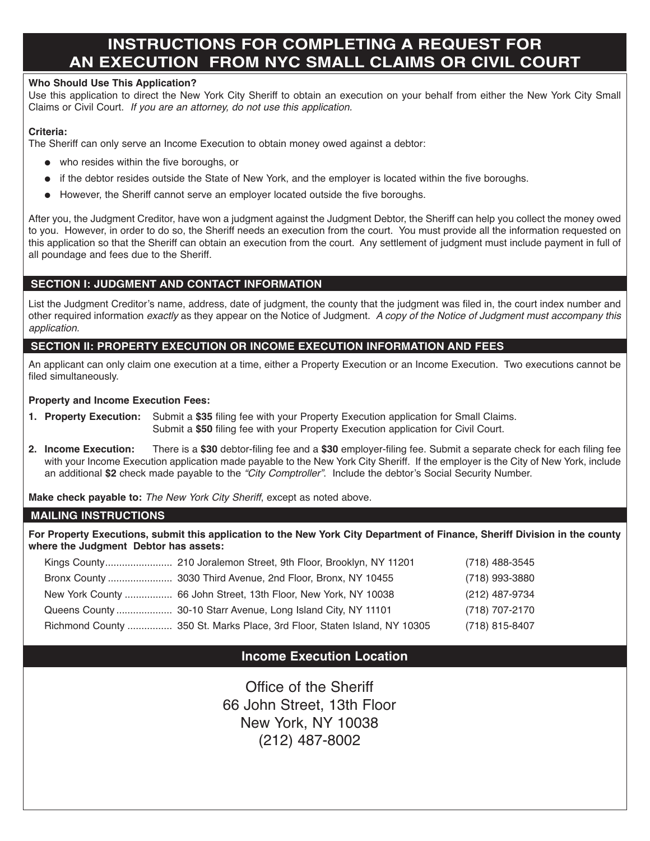# **inSTRucTiOnS FOR cOMPLeTing A RequeST FOR An execuTiOn FROM nYc SMALL cLAiMS OR ciViL cOuRT**

## **Who Should use This Application?**

Use this application to direct the New York City Sheriff to obtain an execution on your behalf from either the New York City Small Claims or Civil Court. *If you are an attorney, do not use this application.*

## **criteria:**

The Sheriff can only serve an Income Execution to obtain money owed against a debtor:

- $\bullet$  who resides within the five boroughs, or
- if the debtor resides outside the State of New York, and the employer is located within the five boroughs.
- $\bullet$  However, the Sheriff cannot serve an employer located outside the five boroughs.

After you, the Judgment Creditor, have won a judgment against the Judgment Debtor, the Sheriff can help you collect the money owed to you. However, in order to do so, the Sheriff needs an execution from the court. You must provide all the information requested on this application so that the Sheriff can obtain an execution from the court. Any settlement of judgment must include payment in full of all poundage and fees due to the Sheriff.

# **SecTiOn i: JudgMenT And cOnTAcT inFORMATiOn**

List the Judgment Creditor's name, address, date of judgment, the county that the judgment was filed in, the court index number and other required information *exactly* as they appear on the Notice of Judgment. *A copy of the Notice of Judgment must accompany this application.*

## **SecTiOn ii: PROPeRTY execuTiOn OR incOMe execuTiOn inFORMATiOn And FeeS**

An applicant can only claim one execution at a time, either a Property Execution or an Income Execution. Two executions cannot be filed simultaneously.

### **Property and income execution Fees:**

- **1. Property execution:** Submit a **\$35** filing fee with your Property Execution application for Small Claims. Submit a **\$50** filing fee with your Property Execution application for Civil Court.
- **2. income execution:** There is a **\$30** debtor-filing fee and a **\$30** employer-filing fee. Submit a separate check for each filing fee with your Income Execution application made payable to the New York City Sheriff. If the employer is the City of New York, include an additional **\$2** check made payable to the *"City Comptroller"*. Include the debtor's Social Security Number.

**Make check payable to:** *The New York City Sheriff*, except as noted above.

## **MAiLing inSTRucTiOnS**

For Property Executions, submit this application to the New York City Department of Finance, Sheriff Division in the county **where the Judgment debtor has assets:**

|                                                                          | (718) 488-3545 |
|--------------------------------------------------------------------------|----------------|
|                                                                          | (718) 993-3880 |
| New York County  66 John Street, 13th Floor, New York, NY 10038          | (212) 487-9734 |
|                                                                          | (718) 707-2170 |
| Richmond County  350 St. Marks Place, 3rd Floor, Staten Island, NY 10305 | (718) 815-8407 |

# **income execution Location**

Office of the Sheriff 66 John Street, 13th Floor New York, NY 10038 (212) 487-8002